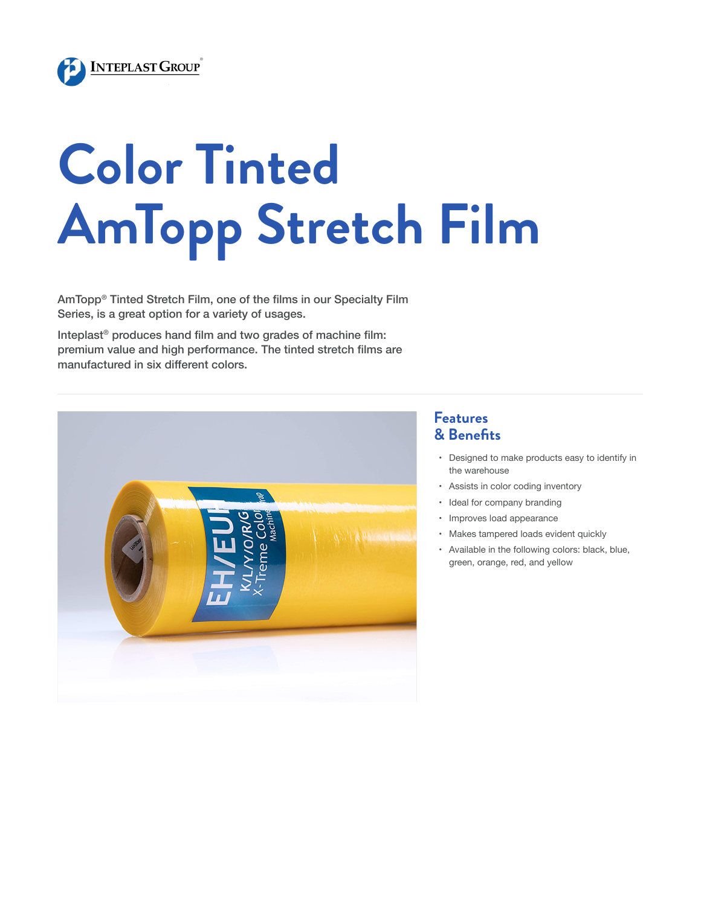

# **Color Tinted AmTopp Stretch Film**

AmTopp® Tinted Stretch Film, one of the films in our Specialty Film Series, is a great option for a variety of usages.

Inteplast® produces hand film and two grades of machine film: premium value and high performance. The tinted stretch films are manufactured in six different colors.



#### **Features & Benefits**

- • Designed to make products easy to identify in the warehouse
- • Assists in color coding inventory
- • Ideal for company branding
- • Improves load appearance
- • Makes tampered loads evident quickly
- • Available in the following colors: black, blue, green, orange, red, and yellow